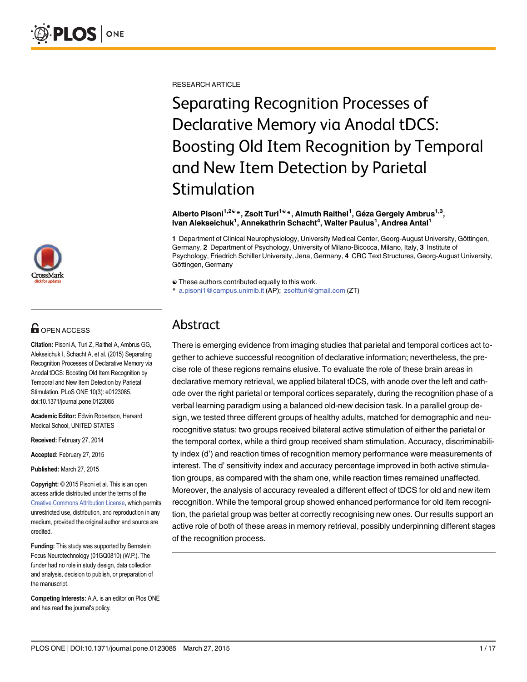

# **G** OPEN ACCESS

Citation: Pisoni A, Turi Z, Raithel A, Ambrus GG, Alekseichuk I, Schacht A, et al. (2015) Separating Recognition Processes of Declarative Memory via Anodal tDCS: Boosting Old Item Recognition by Temporal and New Item Detection by Parietal Stimulation. PLoS ONE 10(3): e0123085. doi:10.1371/journal.pone.0123085

Academic Editor: Edwin Robertson, Harvard Medical School, UNITED STATES

Received: February 27, 2014

Accepted: February 27, 2015

Published: March 27, 2015

Copyright: © 2015 Pisoni et al. This is an open access article distributed under the terms of the [Creative Commons Attribution License,](http://creativecommons.org/licenses/by/4.0/) which permits unrestricted use, distribution, and reproduction in any medium, provided the original author and source are credited.

Funding: This study was supported by Bernstein Focus Neurotechnology (01GQ0810) (W.P.). The funder had no role in study design, data collection and analysis, decision to publish, or preparation of the manuscript.

Competing Interests: A.A. is an editor on Plos ONE and has read the journal's policy.

RESEARCH ARTICLE

Separating Recognition Processes of Declarative Memory via Anodal tDCS: Boosting Old Item Recognition by Temporal and New Item Detection by Parietal Stimulation

#### Alberto Pisoni<sup>1,2©</sup> \*, Zsolt Turi<sup>1©</sup> \*, Almuth Raithel<sup>1</sup>, Géza Gergely Ambrus<sup>1,3</sup>, lvan Alekseichuk<sup>1</sup>, Annekathrin Schacht<sup>4</sup>, Walter Paulus<sup>1</sup>, Andrea Antal<sup>1</sup>

1 Department of Clinical Neurophysiology, University Medical Center, Georg-August University, Göttingen, Germany, 2 Department of Psychology, University of Milano-Bicocca, Milano, Italy, 3 Institute of Psychology, Friedrich Schiller University, Jena, Germany, 4 CRC Text Structures, Georg-August University, Göttingen, Germany

 $\odot$  These authors contributed equally to this work.

\* a.pisoni1@campus.unimib.it (AP); zsoltturi@gmail.com (ZT)

# Abstract

There is emerging evidence from imaging studies that parietal and temporal cortices act together to achieve successful recognition of declarative information; nevertheless, the precise role of these regions remains elusive. To evaluate the role of these brain areas in declarative memory retrieval, we applied bilateral tDCS, with anode over the left and cathode over the right parietal or temporal cortices separately, during the recognition phase of a verbal learning paradigm using a balanced old-new decision task. In a parallel group design, we tested three different groups of healthy adults, matched for demographic and neurocognitive status: two groups received bilateral active stimulation of either the parietal or the temporal cortex, while a third group received sham stimulation. Accuracy, discriminability index (d') and reaction times of recognition memory performance were measurements of interest. The d' sensitivity index and accuracy percentage improved in both active stimulation groups, as compared with the sham one, while reaction times remained unaffected. Moreover, the analysis of accuracy revealed a different effect of tDCS for old and new item recognition. While the temporal group showed enhanced performance for old item recognition, the parietal group was better at correctly recognising new ones. Our results support an active role of both of these areas in memory retrieval, possibly underpinning different stages of the recognition process.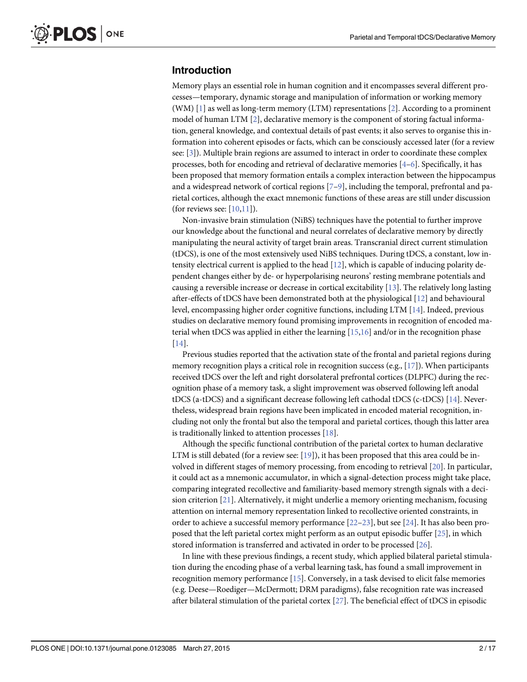### <span id="page-1-0"></span>Introduction

Memory plays an essential role in human cognition and it encompasses several different processes—temporary, dynamic storage and manipulation of information or working memory (WM)  $[1]$  as well as long-term memory (LTM) representations  $[2]$  $[2]$  $[2]$ . According to a prominent model of human LTM  $[2]$  $[2]$ , declarative memory is the component of storing factual information, general knowledge, and contextual details of past events; it also serves to organise this information into coherent episodes or facts, which can be consciously accessed later (for a review see: [[3\]](#page-13-0)). Multiple brain regions are assumed to interact in order to coordinate these complex processes, both for encoding and retrieval of declarative memories  $[4-6]$  $[4-6]$  $[4-6]$  $[4-6]$ . Specifically, it has been proposed that memory formation entails a complex interaction between the hippocampus and a widespread network of cortical regions  $[7-9]$  $[7-9]$  $[7-9]$  $[7-9]$  $[7-9]$ , including the temporal, prefrontal and parietal cortices, although the exact mnemonic functions of these areas are still under discussion (for reviews see:  $[10,11]$  $[10,11]$  $[10,11]$  $[10,11]$  $[10,11]$ ).

Non-invasive brain stimulation (NiBS) techniques have the potential to further improve our knowledge about the functional and neural correlates of declarative memory by directly manipulating the neural activity of target brain areas. Transcranial direct current stimulation (tDCS), is one of the most extensively used NiBS techniques. During tDCS, a constant, low intensity electrical current is applied to the head  $[12]$ , which is capable of inducing polarity dependent changes either by de- or hyperpolarising neurons' resting membrane potentials and causing a reversible increase or decrease in cortical excitability [\[13\]](#page-14-0). The relatively long lasting after-effects of tDCS have been demonstrated both at the physiological [\[12\]](#page-14-0) and behavioural level, encompassing higher order cognitive functions, including LTM [[14](#page-14-0)]. Indeed, previous studies on declarative memory found promising improvements in recognition of encoded material when tDCS was applied in either the learning [\[15,16\]](#page-14-0) and/or in the recognition phase [\[14](#page-14-0)].

Previous studies reported that the activation state of the frontal and parietal regions during memory recognition plays a critical role in recognition success (e.g.,  $[17]$ ). When participants received tDCS over the left and right dorsolateral prefrontal cortices (DLPFC) during the recognition phase of a memory task, a slight improvement was observed following left anodal tDCS (a-tDCS) and a significant decrease following left cathodal tDCS (c-tDCS) [[14](#page-14-0)]. Nevertheless, widespread brain regions have been implicated in encoded material recognition, including not only the frontal but also the temporal and parietal cortices, though this latter area is traditionally linked to attention processes  $[18]$ .

Although the specific functional contribution of the parietal cortex to human declarative LTM is still debated (for a review see:  $[19]$  $[19]$  $[19]$ ), it has been proposed that this area could be involved in different stages of memory processing, from encoding to retrieval [\[20\]](#page-14-0). In particular, it could act as a mnemonic accumulator, in which a signal-detection process might take place, comparing integrated recollective and familiarity-based memory strength signals with a decision criterion [[21](#page-14-0)]. Alternatively, it might underlie a memory orienting mechanism, focusing attention on internal memory representation linked to recollective oriented constraints, in order to achieve a successful memory performance [\[22](#page-14-0)–[23\]](#page-14-0), but see [\[24\]](#page-14-0). It has also been proposed that the left parietal cortex might perform as an output episodic buffer [\[25\]](#page-14-0), in which stored information is transferred and activated in order to be processed [\[26\]](#page-15-0).

In line with these previous findings, a recent study, which applied bilateral parietal stimulation during the encoding phase of a verbal learning task, has found a small improvement in recognition memory performance [\[15\]](#page-14-0). Conversely, in a task devised to elicit false memories (e.g. Deese—Roediger—McDermott; DRM paradigms), false recognition rate was increased after bilateral stimulation of the parietal cortex [[27](#page-15-0)]. The beneficial effect of tDCS in episodic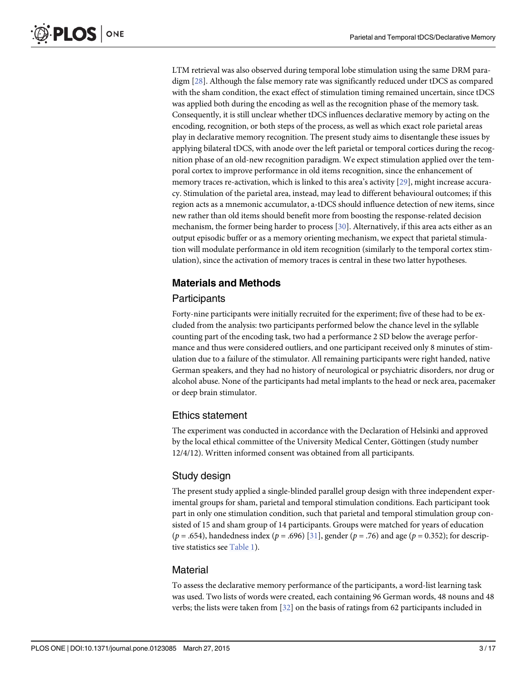<span id="page-2-0"></span>LTM retrieval was also observed during temporal lobe stimulation using the same DRM paradigm [\[28\]](#page-15-0). Although the false memory rate was significantly reduced under tDCS as compared with the sham condition, the exact effect of stimulation timing remained uncertain, since tDCS was applied both during the encoding as well as the recognition phase of the memory task. Consequently, it is still unclear whether tDCS influences declarative memory by acting on the encoding, recognition, or both steps of the process, as well as which exact role parietal areas play in declarative memory recognition. The present study aims to disentangle these issues by applying bilateral tDCS, with anode over the left parietal or temporal cortices during the recognition phase of an old-new recognition paradigm. We expect stimulation applied over the temporal cortex to improve performance in old items recognition, since the enhancement of memory traces re-activation, which is linked to this area's activity [\[29\]](#page-15-0), might increase accuracy. Stimulation of the parietal area, instead, may lead to different behavioural outcomes; if this region acts as a mnemonic accumulator, a-tDCS should influence detection of new items, since new rather than old items should benefit more from boosting the response-related decision mechanism, the former being harder to process [[30](#page-15-0)]. Alternatively, if this area acts either as an output episodic buffer or as a memory orienting mechanism, we expect that parietal stimulation will modulate performance in old item recognition (similarly to the temporal cortex stimulation), since the activation of memory traces is central in these two latter hypotheses.

### Materials and Methods

#### **Participants**

Forty-nine participants were initially recruited for the experiment; five of these had to be excluded from the analysis: two participants performed below the chance level in the syllable counting part of the encoding task, two had a performance 2 SD below the average performance and thus were considered outliers, and one participant received only 8 minutes of stimulation due to a failure of the stimulator. All remaining participants were right handed, native German speakers, and they had no history of neurological or psychiatric disorders, nor drug or alcohol abuse. None of the participants had metal implants to the head or neck area, pacemaker or deep brain stimulator.

#### Ethics statement

The experiment was conducted in accordance with the Declaration of Helsinki and approved by the local ethical committee of the University Medical Center, Göttingen (study number 12/4/12). Written informed consent was obtained from all participants.

### Study design

The present study applied a single-blinded parallel group design with three independent experimental groups for sham, parietal and temporal stimulation conditions. Each participant took part in only one stimulation condition, such that parietal and temporal stimulation group consisted of 15 and sham group of 14 participants. Groups were matched for years of education ( $p = .654$ ), handedness index ( $p = .696$ ) [[31\]](#page-15-0), gender ( $p = .76$ ) and age ( $p = 0.352$ ); for descriptive statistics see [Table 1\)](#page-3-0).

#### **Material**

To assess the declarative memory performance of the participants, a word-list learning task was used. Two lists of words were created, each containing 96 German words, 48 nouns and 48 verbs; the lists were taken from  $[32]$  on the basis of ratings from 62 participants included in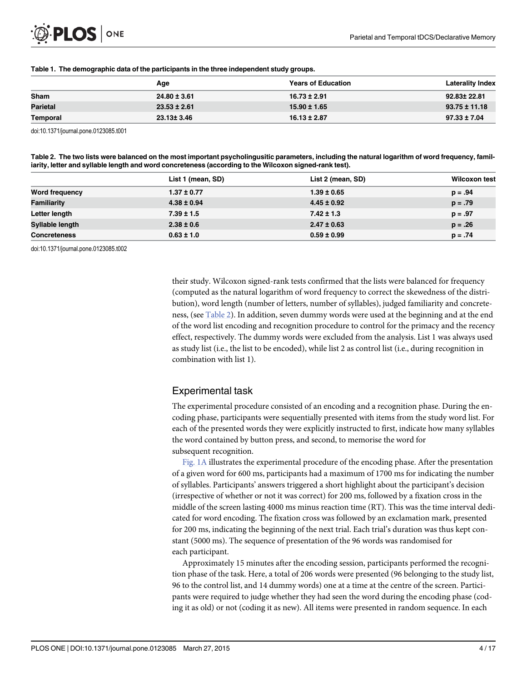#### <span id="page-3-0"></span>[Table 1.](#page-2-0) The demographic data of the participants in the three independent study groups.

|                 | Age              | <b>Years of Education</b> | <b>Laterality Index</b> |
|-----------------|------------------|---------------------------|-------------------------|
| Sham            | $24.80 \pm 3.61$ | $16.73 \pm 2.91$          | 92.83± 22.81            |
| <b>Parietal</b> | $23.53 \pm 2.61$ | $15.90 \pm 1.65$          | $93.75 \pm 11.18$       |
| Temporal        | 23.13± 3.46      | $16.13 \pm 2.87$          | $97.33 \pm 7.04$        |

doi:10.1371/journal.pone.0123085.t001

Table 2. The two lists were balanced on the most important psycholingusitic parameters, including the natural logarithm of word frequency, familiarity, letter and syllable length and word concreteness (according to the Wilcoxon signed-rank test).

|                     | List 1 (mean, SD) | List 2 (mean, SD) | <b>Wilcoxon test</b> |
|---------------------|-------------------|-------------------|----------------------|
| Word frequency      | $1.37 \pm 0.77$   | $1.39 \pm 0.65$   | $p = .94$            |
| Familiarity         | $4.38 \pm 0.94$   | $4.45 \pm 0.92$   | $p = .79$            |
| Letter length       | $7.39 \pm 1.5$    | $7.42 \pm 1.3$    | $p = .97$            |
| Syllable length     | $2.38 \pm 0.6$    | $2.47 \pm 0.63$   | $p = .26$            |
| <b>Concreteness</b> | $0.63 \pm 1.0$    | $0.59 \pm 0.99$   | $p = .74$            |

doi:10.1371/journal.pone.0123085.t002

their study. Wilcoxon signed-rank tests confirmed that the lists were balanced for frequency (computed as the natural logarithm of word frequency to correct the skewedness of the distribution), word length (number of letters, number of syllables), judged familiarity and concreteness, (see Table 2). In addition, seven dummy words were used at the beginning and at the end of the word list encoding and recognition procedure to control for the primacy and the recency effect, respectively. The dummy words were excluded from the analysis. List 1 was always used as study list (i.e., the list to be encoded), while list 2 as control list (i.e., during recognition in combination with list 1).

### Experimental task

The experimental procedure consisted of an encoding and a recognition phase. During the encoding phase, participants were sequentially presented with items from the study word list. For each of the presented words they were explicitly instructed to first, indicate how many syllables the word contained by button press, and second, to memorise the word for subsequent recognition.

[Fig. 1A](#page-4-0) illustrates the experimental procedure of the encoding phase. After the presentation of a given word for 600 ms, participants had a maximum of 1700 ms for indicating the number of syllables. Participants' answers triggered a short highlight about the participant's decision (irrespective of whether or not it was correct) for 200 ms, followed by a fixation cross in the middle of the screen lasting 4000 ms minus reaction time (RT). This was the time interval dedicated for word encoding. The fixation cross was followed by an exclamation mark, presented for 200 ms, indicating the beginning of the next trial. Each trial's duration was thus kept constant (5000 ms). The sequence of presentation of the 96 words was randomised for each participant.

Approximately 15 minutes after the encoding session, participants performed the recognition phase of the task. Here, a total of 206 words were presented (96 belonging to the study list, 96 to the control list, and 14 dummy words) one at a time at the centre of the screen. Participants were required to judge whether they had seen the word during the encoding phase (coding it as old) or not (coding it as new). All items were presented in random sequence. In each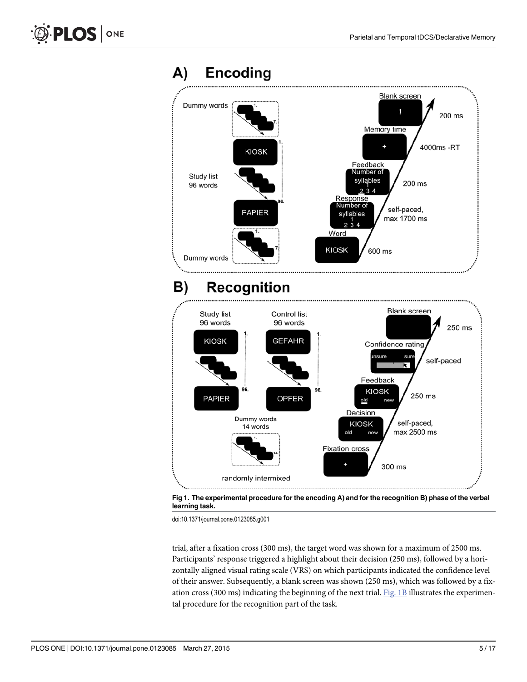<span id="page-4-0"></span>



trial, after a fixation cross (300 ms), the target word was shown for a maximum of 2500 ms. Participants' response triggered a highlight about their decision (250 ms), followed by a horizontally aligned visual rating scale (VRS) on which participants indicated the confidence level of their answer. Subsequently, a blank screen was shown (250 ms), which was followed by a fixation cross (300 ms) indicating the beginning of the next trial. Fig. 1B illustrates the experimental procedure for the recognition part of the task.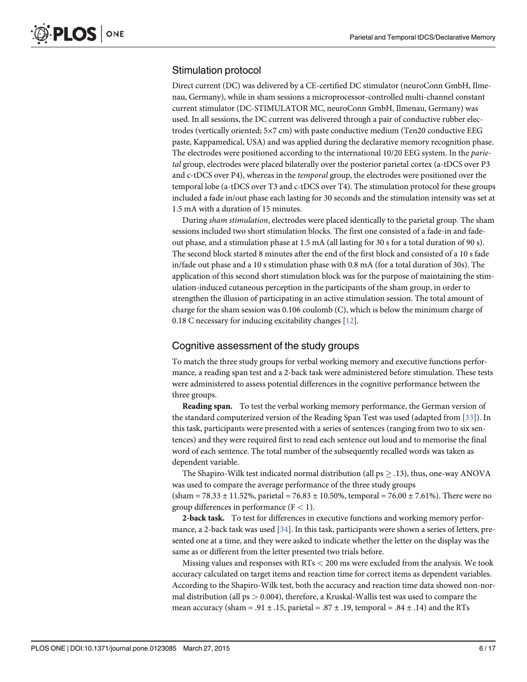#### <span id="page-5-0"></span>Stimulation protocol

Direct current (DC) was delivered by a CE-certified DC stimulator (neuroConn GmbH, Ilmenau, Germany), while in sham sessions a microprocessor-controlled multi-channel constant current stimulator (DC-STIMULATOR MC, neuroConn GmbH, Ilmenau, Germany) was used. In all sessions, the DC current was delivered through a pair of conductive rubber electrodes (vertically oriented; 5×7 cm) with paste conductive medium (Ten20 conductive EEG paste, Kappamedical, USA) and was applied during the declarative memory recognition phase. The electrodes were positioned according to the international 10/20 EEG system. In the *parie*tal group, electrodes were placed bilaterally over the posterior parietal cortex (a-tDCS over P3 and c-tDCS over P4), whereas in the temporal group, the electrodes were positioned over the temporal lobe (a-tDCS over T3 and c-tDCS over T4). The stimulation protocol for these groups included a fade in/out phase each lasting for 30 seconds and the stimulation intensity was set at 1.5 mA with a duration of 15 minutes.

During sham stimulation, electrodes were placed identically to the parietal group. The sham sessions included two short stimulation blocks. The first one consisted of a fade-in and fadeout phase, and a stimulation phase at 1.5 mA (all lasting for 30 s for a total duration of 90 s). The second block started 8 minutes after the end of the first block and consisted of a 10 s fade in/fade out phase and a 10 s stimulation phase with 0.8 mA (for a total duration of 30s). The application of this second short stimulation block was for the purpose of maintaining the stimulation-induced cutaneous perception in the participants of the sham group, in order to strengthen the illusion of participating in an active stimulation session. The total amount of charge for the sham session was 0.106 coulomb (C), which is below the minimum charge of 0.18 C necessary for inducing excitability changes [[12](#page-14-0)].

#### Cognitive assessment of the study groups

To match the three study groups for verbal working memory and executive functions performance, a reading span test and a 2-back task were administered before stimulation. These tests were administered to assess potential differences in the cognitive performance between the three groups.

Reading span. To test the verbal working memory performance, the German version of the standard computerized version of the Reading Span Test was used (adapted from [[33](#page-15-0)]). In this task, participants were presented with a series of sentences (ranging from two to six sentences) and they were required first to read each sentence out loud and to memorise the final word of each sentence. The total number of the subsequently recalled words was taken as dependent variable.

The Shapiro-Wilk test indicated normal distribution (all  $ps \geq .13$ ), thus, one-way ANOVA was used to compare the average performance of the three study groups

(sham = 78.33  $\pm$  11.52%, parietal = 76.83  $\pm$  10.50%, temporal = 76.00  $\pm$  7.61%). There were no group differences in performance  $(F < 1)$ .

2-back task. To test for differences in executive functions and working memory performance, a 2-back task was used [\[34\]](#page-15-0). In this task, participants were shown a series of letters, presented one at a time, and they were asked to indicate whether the letter on the display was the same as or different from the letter presented two trials before.

Missing values and responses with RTs < 200 ms were excluded from the analysis. We took accuracy calculated on target items and reaction time for correct items as dependent variables. According to the Shapiro-Wilk test, both the accuracy and reaction time data showed non-normal distribution (all  $ps > 0.004$ ), therefore, a Kruskal-Wallis test was used to compare the mean accuracy (sham = .91  $\pm$  .15, parietal = .87  $\pm$  .19, temporal = .84  $\pm$  .14) and the RTs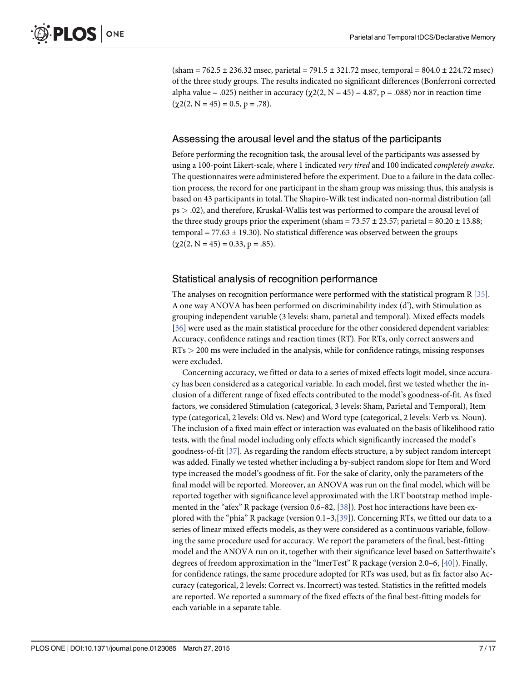<span id="page-6-0"></span> $(\text{sham} = 762.5 \pm 236.32 \text{ msec}, \text{parallel} = 791.5 \pm 321.72 \text{ msec}, \text{temporal} = 804.0 \pm 224.72 \text{ msec})$ of the three study groups. The results indicated no significant differences (Bonferroni corrected alpha value = .025) neither in accuracy ( $\chi$ 2(2, N = 45) = 4.87, p = .088) nor in reaction time  $(\chi2(2, N = 45) = 0.5, p = .78).$ 

#### Assessing the arousal level and the status of the participants

Before performing the recognition task, the arousal level of the participants was assessed by using a 100-point Likert-scale, where 1 indicated very tired and 100 indicated completely awake. The questionnaires were administered before the experiment. Due to a failure in the data collection process, the record for one participant in the sham group was missing; thus, this analysis is based on 43 participants in total. The Shapiro-Wilk test indicated non-normal distribution (all ps > .02), and therefore, Kruskal-Wallis test was performed to compare the arousal level of the three study groups prior the experiment (sham =  $73.57 \pm 23.57$ ; parietal =  $80.20 \pm 13.88$ ; temporal =  $77.63 \pm 19.30$ ). No statistical difference was observed between the groups  $(\chi 2(2, N = 45) = 0.33, p = .85).$ 

#### Statistical analysis of recognition performance

The analyses on recognition performance were performed with the statistical program R [\[35\]](#page-15-0). A one way ANOVA has been performed on discriminability index (d'), with Stimulation as grouping independent variable (3 levels: sham, parietal and temporal). Mixed effects models [\[36](#page-15-0)] were used as the main statistical procedure for the other considered dependent variables: Accuracy, confidence ratings and reaction times (RT). For RTs, only correct answers and RTs > 200 ms were included in the analysis, while for confidence ratings, missing responses were excluded.

Concerning accuracy, we fitted or data to a series of mixed effects logit model, since accuracy has been considered as a categorical variable. In each model, first we tested whether the inclusion of a different range of fixed effects contributed to the model's goodness-of-fit. As fixed factors, we considered Stimulation (categorical, 3 levels: Sham, Parietal and Temporal), Item type (categorical, 2 levels: Old vs. New) and Word type (categorical, 2 levels: Verb vs. Noun). The inclusion of a fixed main effect or interaction was evaluated on the basis of likelihood ratio tests, with the final model including only effects which significantly increased the model's goodness-of-fit [[37](#page-15-0)]. As regarding the random effects structure, a by subject random intercept was added. Finally we tested whether including a by-subject random slope for Item and Word type increased the model's goodness of fit. For the sake of clarity, only the parameters of the final model will be reported. Moreover, an ANOVA was run on the final model, which will be reported together with significance level approximated with the LRT bootstrap method implemented in the "afex" R package (version  $0.6-82$ ,  $[38]$  $[38]$ ). Post hoc interactions have been explored with the "phia" R package (version  $0.1-3$ ,  $39$ ). Concerning RTs, we fitted our data to a series of linear mixed effects models, as they were considered as a continuous variable, following the same procedure used for accuracy. We report the parameters of the final, best-fitting model and the ANOVA run on it, together with their significance level based on Satterthwaite's degrees of freedom approximation in the "lmerTest" R package (version 2.0–6, [\[40\]](#page-15-0)). Finally, for confidence ratings, the same procedure adopted for RTs was used, but as fix factor also Accuracy (categorical, 2 levels: Correct vs. Incorrect) was tested. Statistics in the refitted models are reported. We reported a summary of the fixed effects of the final best-fitting models for each variable in a separate table.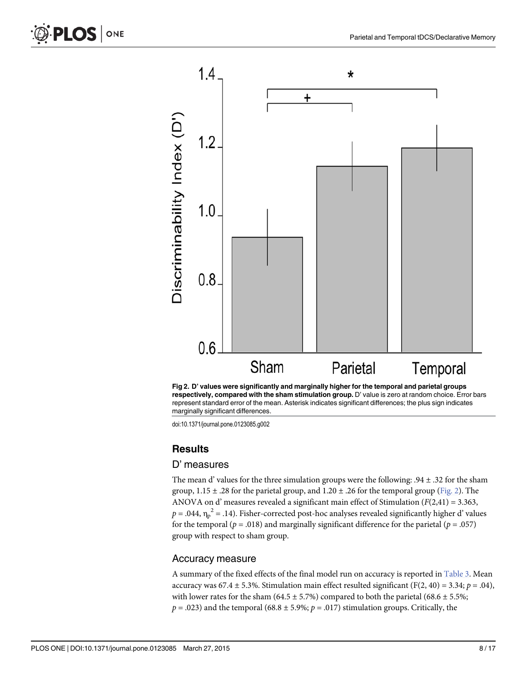<span id="page-7-0"></span>





#### **Results**

#### D' measures

The mean d' values for the three simulation groups were the following: .94 ± .32 for the sham group,  $1.15 \pm .28$  for the parietal group, and  $1.20 \pm .26$  for the temporal group (Fig. 2). The ANOVA on d' measures revealed a significant main effect of Stimulation ( $F(2,41) = 3.363$ ,  $p = .044$ ,  $\eta_p^2 = .14$ ). Fisher-corrected post-hoc analyses revealed significantly higher d' values for the temporal ( $p = .018$ ) and marginally significant difference for the parietal ( $p = .057$ ) group with respect to sham group.

#### Accuracy measure

A summary of the fixed effects of the final model run on accuracy is reported in [Table 3](#page-8-0). Mean accuracy was 67.4  $\pm$  5.3%. Stimulation main effect resulted significant (F(2, 40) = 3.34; p = .04), with lower rates for the sham (64.5  $\pm$  5.7%) compared to both the parietal (68.6  $\pm$  5.5%;  $p = .023$ ) and the temporal (68.8 ± 5.9%;  $p = .017$ ) stimulation groups. Critically, the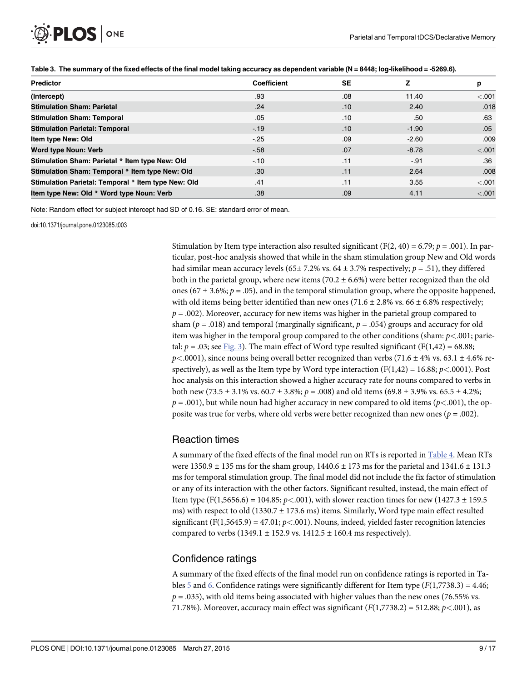<span id="page-8-0"></span>

| Predictor                                           | <b>Coefficient</b> | SE  |         | р       |
|-----------------------------------------------------|--------------------|-----|---------|---------|
| (Intercept)                                         | .93                | .08 | 11.40   | $-.001$ |
| <b>Stimulation Sham: Parietal</b>                   | .24                | .10 | 2.40    | .018    |
| <b>Stimulation Sham: Temporal</b>                   | .05                | .10 | .50     | .63     |
| <b>Stimulation Parietal: Temporal</b>               | $-19$              | .10 | $-1.90$ | .05     |
| Item type New: Old                                  | $-.25$             | .09 | $-2.60$ | .009    |
| Word type Noun: Verb                                | $-58$              | .07 | $-8.78$ | < .001  |
| Stimulation Sham: Parietal * Item type New: Old     | $-10$              | .11 | $-.91$  | .36     |
| Stimulation Sham: Temporal * Item type New: Old     | .30                | .11 | 2.64    | .008    |
| Stimulation Parietal: Temporal * Item type New: Old | .41                | .11 | 3.55    | $-.001$ |
| Item type New: Old * Word type Noun: Verb           | .38                | .09 | 4.11    | < .001  |

[Table 3.](#page-7-0) The summary of the fixed effects of the final model taking accuracy as dependent variable (N = 8448; log-likelihood = -5269.6).

Note: Random effect for subject intercept had SD of 0.16. SE: standard error of mean.

doi:10.1371/journal.pone.0123085.t003

Stimulation by Item type interaction also resulted significant (F(2, 40) = 6.79;  $p = .001$ ). In particular, post-hoc analysis showed that while in the sham stimulation group New and Old words had similar mean accuracy levels (65± 7.2% vs. 64 ± 3.7% respectively;  $p = .51$ ), they differed both in the parietal group, where new items (70.2  $\pm$  6.6%) were better recognized than the old ones (67  $\pm$  3.6%;  $p = .05$ ), and in the temporal stimulation group, where the opposite happened, with old items being better identified than new ones (71.6  $\pm$  2.8% vs. 66  $\pm$  6.8% respectively;  $p = .002$ ). Moreover, accuracy for new items was higher in the parietal group compared to sham ( $p = .018$ ) and temporal (marginally significant,  $p = .054$ ) groups and accuracy for old item was higher in the temporal group compared to the other conditions (sham:  $p<0.01$ ; parietal:  $p = .03$ ; see [Fig. 3](#page-9-0)). The main effect of Word type resulted significant (F(1,42) = 68.88;  $p<.0001$ ), since nouns being overall better recognized than verbs (71.6  $\pm$  4% vs. 63.1  $\pm$  4.6% respectively), as well as the Item type by Word type interaction  $(F(1,42) = 16.88; p < .0001)$ . Post hoc analysis on this interaction showed a higher accuracy rate for nouns compared to verbs in both new (73.5  $\pm$  3.1% vs. 60.7  $\pm$  3.8%;  $p = .008$ ) and old items (69.8  $\pm$  3.9% vs. 65.5  $\pm$  4.2%;  $p = .001$ ), but while noun had higher accuracy in new compared to old items ( $p < .001$ ), the opposite was true for verbs, where old verbs were better recognized than new ones ( $p = .002$ ).

### Reaction times

A summary of the fixed effects of the final model run on RTs is reported in [Table 4](#page-9-0). Mean RTs were  $1350.9 \pm 135$  ms for the sham group,  $1440.6 \pm 173$  ms for the parietal and  $1341.6 \pm 131.3$ ms for temporal stimulation group. The final model did not include the fix factor of stimulation or any of its interaction with the other factors. Significant resulted, instead, the main effect of Item type (F(1,5656.6) = 104.85;  $p < .001$ ), with slower reaction times for new (1427.3  $\pm$  159.5 ms) with respect to old (1330.7 ± 173.6 ms) items. Similarly, Word type main effect resulted significant (F(1,5645.9) = 47.01;  $p < .001$ ). Nouns, indeed, yielded faster recognition latencies compared to verbs (1349.1  $\pm$  152.9 vs. 1412.5  $\pm$  160.4 ms respectively).

## Confidence ratings

A summary of the fixed effects of the final model run on confidence ratings is reported in Ta-bles [5](#page-10-0) and [6.](#page-10-0) Confidence ratings were significantly different for Item type ( $F(1,7738.3) = 4.46$ ;  $p = .035$ ), with old items being associated with higher values than the new ones (76.55% vs. 71.78%). Moreover, accuracy main effect was significant  $(F(1,7738.2) = 512.88; p<.001)$ , as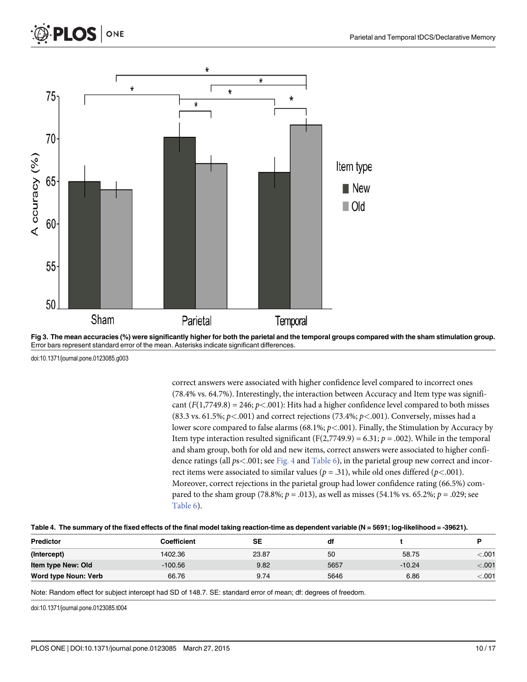<span id="page-9-0"></span>

[Fig 3. T](#page-8-0)he mean accuracies (%) were significantly higher for both the parietal and the temporal groups compared with the sham stimulation group. Error bars represent standard error of the mean. Asterisks indicate significant differences.

ONE

**PLOS** 

correct answers were associated with higher confidence level compared to incorrect ones (78.4% vs. 64.7%). Interestingly, the interaction between Accuracy and Item type was significant  $(F(1,7749.8) = 246; p < .001)$ : Hits had a higher confidence level compared to both misses (83.3 vs. 61.5%;  $p$ <.001) and correct rejections (73.4%;  $p$ <.001). Conversely, misses had a lower score compared to false alarms (68.1%;  $p<.001$ ). Finally, the Stimulation by Accuracy by Item type interaction resulted significant (F(2,7749.9) = 6.31;  $p = .002$ ). While in the temporal and sham group, both for old and new items, correct answers were associated to higher confidence ratings (all  $ps < .001$ ; see [Fig. 4](#page-11-0) and [Table 6](#page-10-0)), in the parietal group new correct and incorrect items were associated to similar values ( $p = .31$ ), while old ones differed ( $p < .001$ ). Moreover, correct rejections in the parietal group had lower confidence rating (66.5%) compared to the sham group (78.8%;  $p = .013$ ), as well as misses (54.1% vs. 65.2%;  $p = .029$ ; see [Table 6](#page-10-0)).

|  |  | Table 4. The summary of the fixed effects of the final model taking reaction-time as dependent variable (N = 5691; log-likelihood = -39621). |  |
|--|--|----------------------------------------------------------------------------------------------------------------------------------------------|--|
|  |  |                                                                                                                                              |  |

| <b>Predictor</b>     | Coefficient | SE    | df   |          |         |
|----------------------|-------------|-------|------|----------|---------|
| (Intercept)          | 1402.36     | 23.87 | 50   | 58.75    | $-.001$ |
| Item type New: Old   | $-100.56$   | 9.82  | 5657 | $-10.24$ | $-.001$ |
| Word type Noun: Verb | 66.76       | 9.74  | 5646 | 6.86     | $-.001$ |

Note: Random effect for subject intercept had SD of 148.7. SE: standard error of mean; df: degrees of freedom.

doi:10.1371/journal.pone.0123085.t004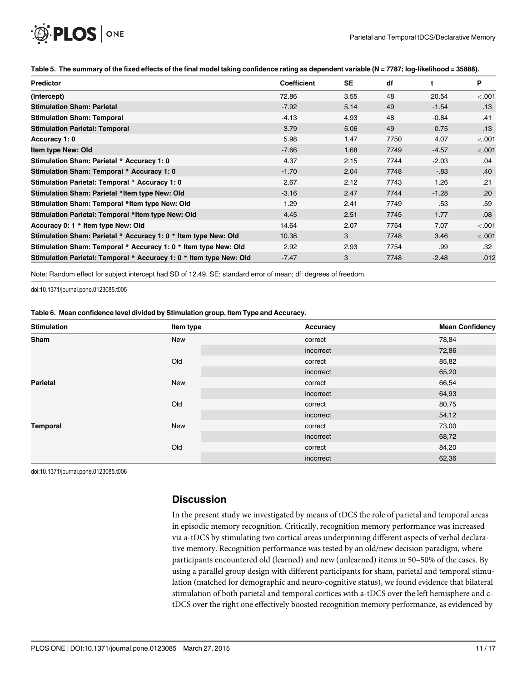<span id="page-10-0"></span>

|  |  | Table 5. The summary of the fixed effects of the final model taking confidence rating as dependent variable (N = 7787; log-likelihood = 35888). |  |  |  |  |
|--|--|-------------------------------------------------------------------------------------------------------------------------------------------------|--|--|--|--|
|--|--|-------------------------------------------------------------------------------------------------------------------------------------------------|--|--|--|--|

| <b>Predictor</b>                                                    | <b>Coefficient</b> | SE   | df   |         | P       |
|---------------------------------------------------------------------|--------------------|------|------|---------|---------|
| (Intercept)                                                         | 72.86              | 3.55 | 48   | 20.54   | < .001  |
| <b>Stimulation Sham: Parietal</b>                                   | $-7.92$            | 5.14 | 49   | $-1.54$ | .13     |
| <b>Stimulation Sham: Temporal</b>                                   | $-4.13$            | 4.93 | 48   | $-0.84$ | .41     |
| <b>Stimulation Parietal: Temporal</b>                               | 3.79               | 5.06 | 49   | 0.75    | .13     |
| Accuracy 1: 0                                                       | 5.98               | 1.47 | 7750 | 4.07    | < 0.001 |
| Item type New: Old                                                  | $-7.66$            | 1.68 | 7749 | $-4.57$ | < .001  |
| Stimulation Sham: Parietal * Accuracy 1: 0                          | 4.37               | 2.15 | 7744 | $-2.03$ | .04     |
| Stimulation Sham: Temporal * Accuracy 1: 0                          | $-1.70$            | 2.04 | 7748 | $-0.83$ | .40     |
| Stimulation Parietal: Temporal * Accuracy 1: 0                      | 2.67               | 2.12 | 7743 | 1.26    | .21     |
| Stimulation Sham: Parietal *Item type New: Old                      | $-3.16$            | 2.47 | 7744 | $-1.28$ | .20     |
| Stimulation Sham: Temporal *Item type New: Old                      | 1.29               | 2.41 | 7749 | .53     | .59     |
| Stimulation Parietal: Temporal *Item type New: Old                  | 4.45               | 2.51 | 7745 | 1.77    | .08     |
| Accuracy 0: 1 * Item type New: Old                                  | 14.64              | 2.07 | 7754 | 7.07    | < .001  |
| Stimulation Sham: Parietal * Accuracy 1: 0 * Item type New: Old     | 10.38              | 3    | 7748 | 3.46    | < .001  |
| Stimulation Sham: Temporal * Accuracy 1: 0 * Item type New: Old     | 2.92               | 2.93 | 7754 | .99     | .32     |
| Stimulation Parietal: Temporal * Accuracy 1: 0 * Item type New: Old | $-7.47$            | 3    | 7748 | $-2.48$ | .012    |

Note: Random effect for subject intercept had SD of 12.49. SE: standard error of mean; df: degrees of freedom.

doi:10.1371/journal.pone.0123085.t005

[Table 6.](#page-8-0) Mean confidence level divided by Stimulation group, Item Type and Accuracy.

| <b>Stimulation</b> | Item type  | Accuracy  | <b>Mean Confidency</b> |
|--------------------|------------|-----------|------------------------|
| Sham               | <b>New</b> | correct   | 78,84                  |
|                    |            | incorrect | 72,86                  |
|                    | Old        | correct   | 85,82                  |
|                    |            | incorrect | 65,20                  |
| <b>Parietal</b>    | New        | correct   | 66,54                  |
|                    |            | incorrect | 64,93                  |
|                    | Old        | correct   | 80,75                  |
|                    |            | incorrect | 54,12                  |
| <b>Temporal</b>    | <b>New</b> | correct   | 73,00                  |
|                    |            | incorrect | 68,72                  |
|                    | Old        | correct   | 84,20                  |
|                    |            | incorrect | 62,36                  |

doi:10.1371/journal.pone.0123085.t006

## **Discussion**

In the present study we investigated by means of tDCS the role of parietal and temporal areas in episodic memory recognition. Critically, recognition memory performance was increased via a-tDCS by stimulating two cortical areas underpinning different aspects of verbal declarative memory. Recognition performance was tested by an old/new decision paradigm, where participants encountered old (learned) and new (unlearned) items in 50–50% of the cases. By using a parallel group design with different participants for sham, parietal and temporal stimulation (matched for demographic and neuro-cognitive status), we found evidence that bilateral stimulation of both parietal and temporal cortices with a-tDCS over the left hemisphere and ctDCS over the right one effectively boosted recognition memory performance, as evidenced by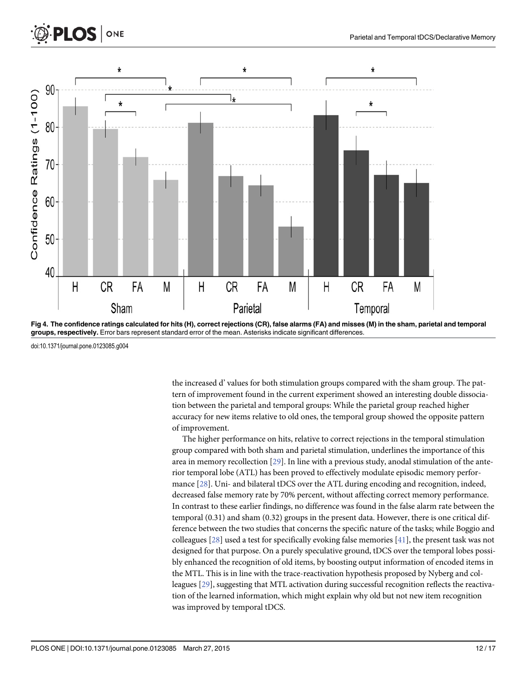<span id="page-11-0"></span>

[Fig 4. T](#page-9-0)he confidence ratings calculated for hits (H), correct rejections (CR), false alarms (FA) and misses (M) in the sham, parietal and temporal groups, respectively. Error bars represent standard error of the mean. Asterisks indicate significant differences.

ONE

OS.

the increased d' values for both stimulation groups compared with the sham group. The pattern of improvement found in the current experiment showed an interesting double dissociation between the parietal and temporal groups: While the parietal group reached higher accuracy for new items relative to old ones, the temporal group showed the opposite pattern of improvement.

The higher performance on hits, relative to correct rejections in the temporal stimulation group compared with both sham and parietal stimulation, underlines the importance of this area in memory recollection [[29](#page-15-0)]. In line with a previous study, anodal stimulation of the anterior temporal lobe (ATL) has been proved to effectively modulate episodic memory performance [[28\]](#page-15-0). Uni- and bilateral tDCS over the ATL during encoding and recognition, indeed, decreased false memory rate by 70% percent, without affecting correct memory performance. In contrast to these earlier findings, no difference was found in the false alarm rate between the temporal (0.31) and sham (0.32) groups in the present data. However, there is one critical difference between the two studies that concerns the specific nature of the tasks; while Boggio and colleagues  $[28]$  $[28]$  used a test for specifically evoking false memories  $[41]$ , the present task was not designed for that purpose. On a purely speculative ground, tDCS over the temporal lobes possibly enhanced the recognition of old items, by boosting output information of encoded items in the MTL. This is in line with the trace-reactivation hypothesis proposed by Nyberg and colleagues [\[29\]](#page-15-0), suggesting that MTL activation during successful recognition reflects the reactivation of the learned information, which might explain why old but not new item recognition was improved by temporal tDCS.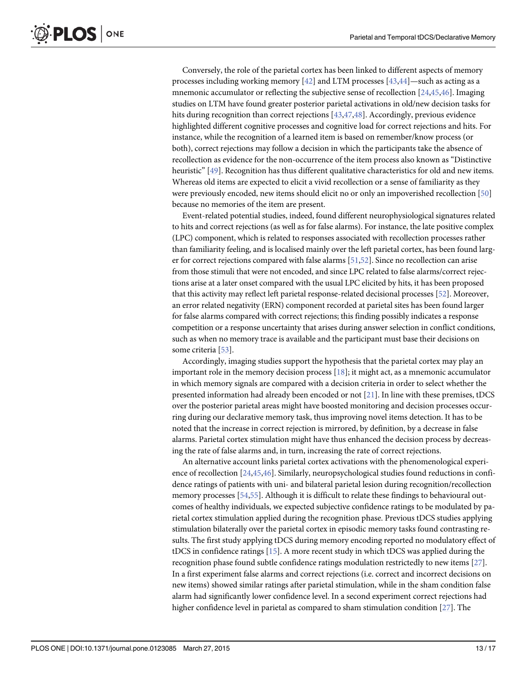<span id="page-12-0"></span> $PLOS |$  ONE

Conversely, the role of the parietal cortex has been linked to different aspects of memory processes including working memory  $[42]$  $[42]$  and LTM processes  $[43,44]$  $[43,44]$  $[43,44]$  $[43,44]$  $[43,44]$ —such as acting as a mnemonic accumulator or reflecting the subjective sense of recollection  $[24,45,46]$  $[24,45,46]$  $[24,45,46]$  $[24,45,46]$  $[24,45,46]$ . Imaging studies on LTM have found greater posterior parietal activations in old/new decision tasks for hits during recognition than correct rejections [[43,47](#page-15-0),[48](#page-15-0)]. Accordingly, previous evidence highlighted different cognitive processes and cognitive load for correct rejections and hits. For instance, while the recognition of a learned item is based on remember/know process (or both), correct rejections may follow a decision in which the participants take the absence of recollection as evidence for the non-occurrence of the item process also known as "Distinctive heuristic" [[49\]](#page-15-0). Recognition has thus different qualitative characteristics for old and new items. Whereas old items are expected to elicit a vivid recollection or a sense of familiarity as they were previously encoded, new items should elicit no or only an impoverished recollection [[50](#page-16-0)] because no memories of the item are present.

Event-related potential studies, indeed, found different neurophysiological signatures related to hits and correct rejections (as well as for false alarms). For instance, the late positive complex (LPC) component, which is related to responses associated with recollection processes rather than familiarity feeling, and is localised mainly over the left parietal cortex, has been found larger for correct rejections compared with false alarms [\[51,52](#page-16-0)]. Since no recollection can arise from those stimuli that were not encoded, and since LPC related to false alarms/correct rejections arise at a later onset compared with the usual LPC elicited by hits, it has been proposed that this activity may reflect left parietal response-related decisional processes [\[52\]](#page-16-0). Moreover, an error related negativity (ERN) component recorded at parietal sites has been found larger for false alarms compared with correct rejections; this finding possibly indicates a response competition or a response uncertainty that arises during answer selection in conflict conditions, such as when no memory trace is available and the participant must base their decisions on some criteria [[53](#page-16-0)].

Accordingly, imaging studies support the hypothesis that the parietal cortex may play an important role in the memory decision process  $[18]$ ; it might act, as a mnemonic accumulator in which memory signals are compared with a decision criteria in order to select whether the presented information had already been encoded or not [[21\]](#page-14-0). In line with these premises, tDCS over the posterior parietal areas might have boosted monitoring and decision processes occurring during our declarative memory task, thus improving novel items detection. It has to be noted that the increase in correct rejection is mirrored, by definition, by a decrease in false alarms. Parietal cortex stimulation might have thus enhanced the decision process by decreasing the rate of false alarms and, in turn, increasing the rate of correct rejections.

An alternative account links parietal cortex activations with the phenomenological experi-ence of recollection [\[24,](#page-14-0)[45](#page-15-0),[46](#page-15-0)]. Similarly, neuropsychological studies found reductions in confidence ratings of patients with uni- and bilateral parietal lesion during recognition/recollection memory processes [[54](#page-16-0),[55](#page-16-0)]. Although it is difficult to relate these findings to behavioural outcomes of healthy individuals, we expected subjective confidence ratings to be modulated by parietal cortex stimulation applied during the recognition phase. Previous tDCS studies applying stimulation bilaterally over the parietal cortex in episodic memory tasks found contrasting results. The first study applying tDCS during memory encoding reported no modulatory effect of tDCS in confidence ratings [\[15](#page-14-0)]. A more recent study in which tDCS was applied during the recognition phase found subtle confidence ratings modulation restrictedly to new items [[27](#page-15-0)]. In a first experiment false alarms and correct rejections (i.e. correct and incorrect decisions on new items) showed similar ratings after parietal stimulation, while in the sham condition false alarm had significantly lower confidence level. In a second experiment correct rejections had higher confidence level in parietal as compared to sham stimulation condition [[27\]](#page-15-0). The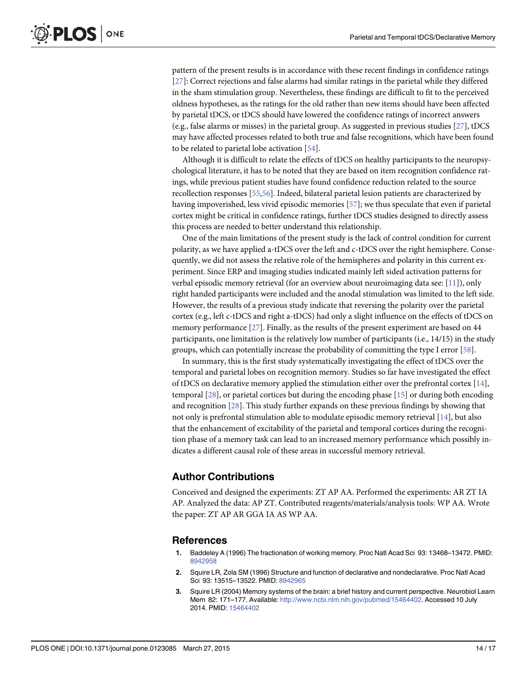<span id="page-13-0"></span>pattern of the present results is in accordance with these recent findings in confidence ratings [\[27](#page-15-0)]: Correct rejections and false alarms had similar ratings in the parietal while they differed in the sham stimulation group. Nevertheless, these findings are difficult to fit to the perceived oldness hypotheses, as the ratings for the old rather than new items should have been affected by parietal tDCS, or tDCS should have lowered the confidence ratings of incorrect answers (e.g., false alarms or misses) in the parietal group. As suggested in previous studies [\[27\]](#page-15-0), tDCS may have affected processes related to both true and false recognitions, which have been found to be related to parietal lobe activation [[54\]](#page-16-0).

Although it is difficult to relate the effects of tDCS on healthy participants to the neuropsychological literature, it has to be noted that they are based on item recognition confidence ratings, while previous patient studies have found confidence reduction related to the source recollection responses [[55](#page-16-0),[56](#page-16-0)]. Indeed, bilateral parietal lesion patients are characterized by having impoverished, less vivid episodic memories [[57](#page-16-0)]; we thus speculate that even if parietal cortex might be critical in confidence ratings, further tDCS studies designed to directly assess this process are needed to better understand this relationship.

One of the main limitations of the present study is the lack of control condition for current polarity, as we have applied a-tDCS over the left and c-tDCS over the right hemisphere. Consequently, we did not assess the relative role of the hemispheres and polarity in this current experiment. Since ERP and imaging studies indicated mainly left sided activation patterns for verbal episodic memory retrieval (for an overview about neuroimaging data see:  $[11]$  $[11]$ ), only right handed participants were included and the anodal stimulation was limited to the left side. However, the results of a previous study indicate that reversing the polarity over the parietal cortex (e.g., left c-tDCS and right a-tDCS) had only a slight influence on the effects of tDCS on memory performance [\[27](#page-15-0)]. Finally, as the results of the present experiment are based on 44 participants, one limitation is the relatively low number of participants (i.e., 14/15) in the study groups, which can potentially increase the probability of committing the type I error [\[58\]](#page-16-0).

In summary, this is the first study systematically investigating the effect of tDCS over the temporal and parietal lobes on recognition memory. Studies so far have investigated the effect of tDCS on declarative memory applied the stimulation either over the prefrontal cortex  $[14]$ , temporal [[28](#page-15-0)], or parietal cortices but during the encoding phase [[15\]](#page-14-0) or during both encoding and recognition [\[28](#page-15-0)]. This study further expands on these previous findings by showing that not only is prefrontal stimulation able to modulate episodic memory retrieval [\[14\]](#page-14-0), but also that the enhancement of excitability of the parietal and temporal cortices during the recognition phase of a memory task can lead to an increased memory performance which possibly indicates a different causal role of these areas in successful memory retrieval.

#### Author Contributions

Conceived and designed the experiments: ZT AP AA. Performed the experiments: AR ZT IA AP. Analyzed the data: AP ZT. Contributed reagents/materials/analysis tools: WP AA. Wrote the paper: ZT AP AR GGA IA AS WP AA.

#### **References**

- [1.](#page-1-0) Baddeley A (1996) The fractionation of working memory. Proc Natl Acad Sci 93: 13468–13472. PMID: [8942958](http://www.ncbi.nlm.nih.gov/pubmed/8942958)
- [2.](#page-1-0) Squire LR, Zola SM (1996) Structure and function of declarative and nondeclarative. Proc Natl Acad Sci 93: 13515–13522. PMID: [8942965](http://www.ncbi.nlm.nih.gov/pubmed/8942965)
- [3.](#page-1-0) Squire LR (2004) Memory systems of the brain: a brief history and current perspective. Neurobiol Learn Mem 82: 171-177. Available: [http://www.ncbi.nlm.nih.gov/pubmed/15464402.](http://www.ncbi.nlm.nih.gov/pubmed/15464402) Accessed 10 July 2014. PMID: [15464402](http://www.ncbi.nlm.nih.gov/pubmed/15464402)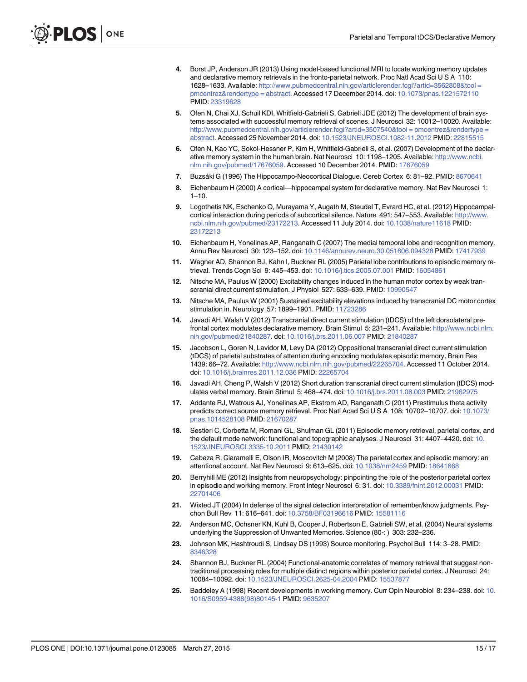- <span id="page-14-0"></span>[4.](#page-1-0) Borst JP, Anderson JR (2013) Using model-based functional MRI to locate working memory updates and declarative memory retrievals in the fronto-parietal network. Proc Natl Acad Sci U S A 110: 1628–1633. Available: [http://www.pubmedcentral.nih.gov/articlerender.fcgi?artid=3562808&tool =](http://www.pubmedcentral.nih.gov/articlerender.fcgi?artid=3562808&tool�=�pmcentrez&rendertype�=�abstract) [pmcentrez&rendertype = abstract](http://www.pubmedcentral.nih.gov/articlerender.fcgi?artid=3562808&tool�=�pmcentrez&rendertype�=�abstract). Accessed 17 December 2014. doi: [10.1073/pnas.1221572110](http://dx.doi.org/10.1073/pnas.1221572110) PMID: [23319628](http://www.ncbi.nlm.nih.gov/pubmed/23319628)
- 5. Ofen N, Chai XJ, Schuil KDI, Whitfield-Gabrieli S, Gabrieli JDE (2012) The development of brain systems associated with successful memory retrieval of scenes. J Neurosci 32: 10012–10020. Available: [http://www.pubmedcentral.nih.gov/articlerender.fcgi?artid=3507540&tool = pmcentrez&rendertype =](http://www.pubmedcentral.nih.gov/articlerender.fcgi?artid=3507540&tool�=�pmcentrez&rendertype�=�abstract) [abstract](http://www.pubmedcentral.nih.gov/articlerender.fcgi?artid=3507540&tool�=�pmcentrez&rendertype�=�abstract). Accessed 25 November 2014. doi: [10.1523/JNEUROSCI.1082-11.2012](http://dx.doi.org/10.1523/JNEUROSCI.1082-11.2012) PMID: [22815515](http://www.ncbi.nlm.nih.gov/pubmed/22815515)
- [6.](#page-1-0) Ofen N, Kao YC, Sokol-Hessner P, Kim H, Whitfield-Gabrieli S, et al. (2007) Development of the declarative memory system in the human brain. Nat Neurosci 10: 1198–1205. Available: [http://www.ncbi.](http://www.ncbi.nlm.nih.gov/pubmed/17676059) [nlm.nih.gov/pubmed/17676059](http://www.ncbi.nlm.nih.gov/pubmed/17676059). Accessed 10 December 2014. PMID: [17676059](http://www.ncbi.nlm.nih.gov/pubmed/17676059)
- [7.](#page-1-0) Buzsáki G (1996) The Hippocampo-Neocortical Dialogue. Cereb Cortex 6: 81–92. PMID: [8670641](http://www.ncbi.nlm.nih.gov/pubmed/8670641)
- 8. Eichenbaum H (2000) A cortical—hippocampal system for declarative memory. Nat Rev Neurosci 1:  $1 - 10$ .
- [9.](#page-1-0) Logothetis NK, Eschenko O, Murayama Y, Augath M, Steudel T, Evrard HC, et al. (2012) Hippocampalcortical interaction during periods of subcortical silence. Nature 491: 547–553. Available: [http://www.](http://www.ncbi.nlm.nih.gov/pubmed/23172213) [ncbi.nlm.nih.gov/pubmed/23172213](http://www.ncbi.nlm.nih.gov/pubmed/23172213). Accessed 11 July 2014. doi: [10.1038/nature11618](http://dx.doi.org/10.1038/nature11618) PMID: [23172213](http://www.ncbi.nlm.nih.gov/pubmed/23172213)
- [10.](#page-1-0) Eichenbaum H, Yonelinas AP, Ranganath C (2007) The medial temporal lobe and recognition memory. Annu Rev Neurosci 30: 123–152. doi: [10.1146/annurev.neuro.30.051606.094328](http://dx.doi.org/10.1146/annurev.neuro.30.051606.094328) PMID: [17417939](http://www.ncbi.nlm.nih.gov/pubmed/17417939)
- [11.](#page-1-0) Wagner AD, Shannon BJ, Kahn I, Buckner RL (2005) Parietal lobe contributions to episodic memory retrieval. Trends Cogn Sci 9: 445–453. doi: [10.1016/j.tics.2005.07.001](http://dx.doi.org/10.1016/j.tics.2005.07.001) PMID: [16054861](http://www.ncbi.nlm.nih.gov/pubmed/16054861)
- [12.](#page-1-0) Nitsche MA, Paulus W (2000) Excitability changes induced in the human motor cortex by weak tran-scranial direct current stimulation. J Physiol 527: 633-639. PMID: [10990547](http://www.ncbi.nlm.nih.gov/pubmed/10990547)
- [13.](#page-1-0) Nitsche MA, Paulus W (2001) Sustained excitability elevations induced by transcranial DC motor cortex stimulation in. Neurology 57: 1899–1901. PMID: [11723286](http://www.ncbi.nlm.nih.gov/pubmed/11723286)
- [14.](#page-1-0) Javadi AH, Walsh V (2012) Transcranial direct current stimulation (tDCS) of the left dorsolateral prefrontal cortex modulates declarative memory. Brain Stimul 5: 231–241. Available: [http://www.ncbi.nlm.](http://www.ncbi.nlm.nih.gov/pubmed/21840287) [nih.gov/pubmed/21840287.](http://www.ncbi.nlm.nih.gov/pubmed/21840287) doi: [10.1016/j.brs.2011.06.007](http://dx.doi.org/10.1016/j.brs.2011.06.007) PMID: [21840287](http://www.ncbi.nlm.nih.gov/pubmed/21840287)
- [15.](#page-1-0) Jacobson L, Goren N, Lavidor M, Levy DA (2012) Oppositional transcranial direct current stimulation (tDCS) of parietal substrates of attention during encoding modulates episodic memory. Brain Res 1439: 66–72. Available: [http://www.ncbi.nlm.nih.gov/pubmed/22265704.](http://www.ncbi.nlm.nih.gov/pubmed/22265704) Accessed 11 October 2014. doi: [10.1016/j.brainres.2011.12.036](http://dx.doi.org/10.1016/j.brainres.2011.12.036) PMID: [22265704](http://www.ncbi.nlm.nih.gov/pubmed/22265704)
- [16.](#page-1-0) Javadi AH, Cheng P, Walsh V (2012) Short duration transcranial direct current stimulation (tDCS) modulates verbal memory. Brain Stimul 5: 468–474. doi: [10.1016/j.brs.2011.08.003](http://dx.doi.org/10.1016/j.brs.2011.08.003) PMID: [21962975](http://www.ncbi.nlm.nih.gov/pubmed/21962975)
- [17.](#page-1-0) Addante RJ, Watrous AJ, Yonelinas AP, Ekstrom AD, Ranganath C (2011) Prestimulus theta activity predicts correct source memory retrieval. Proc Natl Acad Sci U S A 108: 10702–10707. doi: [10.1073/](http://dx.doi.org/10.1073/pnas.1014528108) [pnas.1014528108](http://dx.doi.org/10.1073/pnas.1014528108) PMID: [21670287](http://www.ncbi.nlm.nih.gov/pubmed/21670287)
- [18.](#page-1-0) Sestieri C, Corbetta M, Romani GL, Shulman GL (2011) Episodic memory retrieval, parietal cortex, and the default mode network: functional and topographic analyses. J Neurosci 31: 4407–4420. doi: [10.](http://dx.doi.org/10.1523/JNEUROSCI.3335-10.2011) [1523/JNEUROSCI.3335-10.2011](http://dx.doi.org/10.1523/JNEUROSCI.3335-10.2011) PMID: [21430142](http://www.ncbi.nlm.nih.gov/pubmed/21430142)
- [19.](#page-1-0) Cabeza R, Ciaramelli E, Olson IR, Moscovitch M (2008) The parietal cortex and episodic memory: an attentional account. Nat Rev Neurosci 9: 613–625. doi: [10.1038/nrn2459](http://dx.doi.org/10.1038/nrn2459) PMID: [18641668](http://www.ncbi.nlm.nih.gov/pubmed/18641668)
- [20.](#page-1-0) Berryhill ME (2012) Insights from neuropsychology: pinpointing the role of the posterior parietal cortex in episodic and working memory. Front Integr Neurosci 6: 31. doi: [10.3389/fnint.2012.00031](http://dx.doi.org/10.3389/fnint.2012.00031) PMID: [22701406](http://www.ncbi.nlm.nih.gov/pubmed/22701406)
- [21.](#page-1-0) Wixted JT (2004) In defense of the signal detection interpretation of remember/know judgments. Psychon Bull Rev 11: 616–641. doi: [10.3758/BF03196616](http://dx.doi.org/10.3758/BF03196616) PMID: [15581116](http://www.ncbi.nlm.nih.gov/pubmed/15581116)
- [22.](#page-1-0) Anderson MC, Ochsner KN, Kuhl B, Cooper J, Robertson E, Gabrieli SW, et al. (2004) Neural systems underlying the Suppression of Unwanted Memories. Science (80-: ) 303: 232–236.
- [23.](#page-1-0) Johnson MK, Hashtroudi S, Lindsay DS (1993) Source monitoring. Psychol Bull 114: 3–28. PMID: [8346328](http://www.ncbi.nlm.nih.gov/pubmed/8346328)
- [24.](#page-1-0) Shannon BJ, Buckner RL (2004) Functional-anatomic correlates of memory retrieval that suggest nontraditional processing roles for multiple distinct regions within posterior parietal cortex. J Neurosci 24: 10084–10092. doi: [10.1523/JNEUROSCI.2625-04.2004](http://dx.doi.org/10.1523/JNEUROSCI.2625-04.2004) PMID: [15537877](http://www.ncbi.nlm.nih.gov/pubmed/15537877)
- [25.](#page-1-0) Baddeley A (1998) Recent developments in working memory. Curr Opin Neurobiol 8: 234–238. doi: [10.](http://dx.doi.org/10.1016/S0959-4388(98)80145-1) [1016/S0959-4388\(98\)80145-1](http://dx.doi.org/10.1016/S0959-4388(98)80145-1) PMID: [9635207](http://www.ncbi.nlm.nih.gov/pubmed/9635207)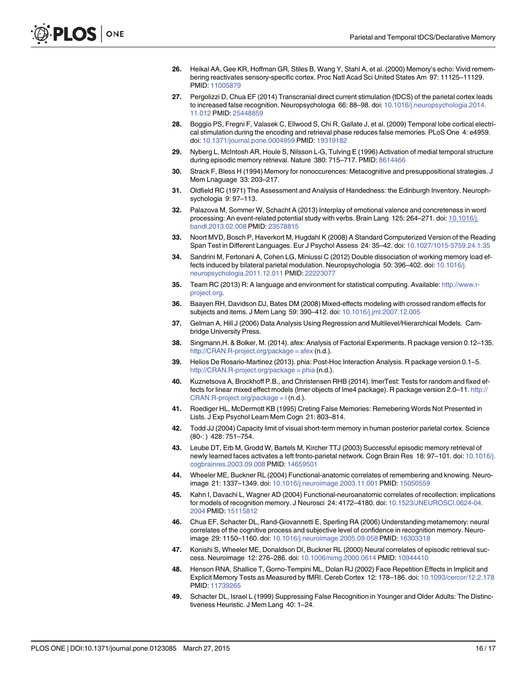- <span id="page-15-0"></span>[26.](#page-1-0) Heikal AA, Gee KR, Hoffman GR, Stiles B, Wang Y, Stahl A, et al. (2000) Memory's echo: Vivid remembering reactivates sensory-specific cortex. Proc Natl Acad Sci United States Am 97: 11125–11129. PMID: [11005879](http://www.ncbi.nlm.nih.gov/pubmed/11005879)
- [27.](#page-1-0) Pergolizzi D, Chua EF (2014) Transcranial direct current stimulation (tDCS) of the parietal cortex leads to increased false recognition. Neuropsychologia 66: 88-98. doi: [10.1016/j.neuropsychologia.2014.](http://dx.doi.org/10.1016/j.neuropsychologia.2014.11.012) [11.012](http://dx.doi.org/10.1016/j.neuropsychologia.2014.11.012) PMID: [25448859](http://www.ncbi.nlm.nih.gov/pubmed/25448859)
- [28.](#page-2-0) Boggio PS, Fregni F, Valasek C, Ellwood S, Chi R, Gallate J, et al. (2009) Temporal lobe cortical electrical stimulation during the encoding and retrieval phase reduces false memories. PLoS One 4: e4959. doi: [10.1371/journal.pone.0004959](http://dx.doi.org/10.1371/journal.pone.0004959) PMID: [19319182](http://www.ncbi.nlm.nih.gov/pubmed/19319182)
- [29.](#page-2-0) Nyberg L, McIntosh AR, Houle S, Nilsson L-G, Tulving E (1996) Activation of medial temporal structure during episodic memory retrieval. Nature 380: 715-717. PMID: [8614466](http://www.ncbi.nlm.nih.gov/pubmed/8614466)
- [30.](#page-2-0) Strack F, Bless H (1994) Memory for nonoccurences: Metacognitive and presuppositional strategies. J Mem Lnaguage 33: 203–217.
- [31.](#page-2-0) Oldfield RC (1971) The Assessment and Analysis of Handedness: the Edinburgh Inventory. Neurophsychologia 9: 97–113.
- [32.](#page-2-0) Palazova M, Sommer W, Schacht A (2013) Interplay of emotional valence and concreteness in word processing: An event-related potential study with verbs. Brain Lang 125: 264-271. doi: [10.1016/j.](http://dx.doi.org/10.1016/j.bandl.2013.02.008) [bandl.2013.02.008](http://dx.doi.org/10.1016/j.bandl.2013.02.008) PMID: [23578815](http://www.ncbi.nlm.nih.gov/pubmed/23578815)
- [33.](#page-5-0) Noort MVD, Bosch P, Haverkort M, Hugdahl K (2008) A Standard Computerized Version of the Reading Span Test in Different Languages. Eur J Psychol Assess 24: 35–42. doi: [10.1027/1015-5759.24.1.35](http://dx.doi.org/10.1027/1015-5759.24.1.35)
- [34.](#page-5-0) Sandrini M, Fertonani A, Cohen LG, Miniussi C (2012) Double dissociation of working memory load effects induced by bilateral parietal modulation. Neuropsychologia 50: 396–402. doi: [10.1016/j.](http://dx.doi.org/10.1016/j.neuropsychologia.2011.12.011) [neuropsychologia.2011.12.011](http://dx.doi.org/10.1016/j.neuropsychologia.2011.12.011) PMID: [22223077](http://www.ncbi.nlm.nih.gov/pubmed/22223077)
- [35.](#page-6-0) Team RC (2013) R: A language and environment for statistical computing. Available: [http://www.r](http://www.r-project.org)[project.org](http://www.r-project.org).
- [36.](#page-6-0) Baayen RH, Davidson DJ, Bates DM (2008) Mixed-effects modeling with crossed random effects for subjects and items. J Mem Lang 59: 390–412. doi: [10.1016/j.jml.2007.12.005](http://dx.doi.org/10.1016/j.jml.2007.12.005)
- [37.](#page-6-0) Gelman A, Hill J (2006) Data Analysis Using Regression and Multilevel/Hierarchical Models. Cambridge University Press.
- [38.](#page-6-0) Singmann,H. & Bolker, M. (2014). afex: Analysis of Factorial Experiments. R package version 0.12–135. [http://CRAN.R-project.org/package = afex](http://CRAN.R-project.org/package�=�afex) (n.d.).
- [39.](#page-6-0) Helios De Rosario-Martinez (2013). phia: Post-Hoc Interaction Analysis. R package version 0.1–5. [http://CRAN.R-project.org/package = phia](http://CRAN.R-project.org/package�=�phia) (n.d.).
- [40.](#page-6-0) Kuznetsova A, Brockhoff P.B., and Christensen RHB (2014). lmerTest: Tests for random and fixed effects for linear mixed effect models (Imer objects of Ime4 package). R package version 2.0-11. [http://](http://CRAN.R-project.org/package�=�l) [CRAN.R-project.org/package = l](http://CRAN.R-project.org/package�=�l) (n.d.).
- [41.](#page-11-0) Roediger HL, McDermott KB (1995) Creting False Memories: Remebering Words Not Presented in Lists. J Exp Psychol Learn Mem Cogn 21: 803–814.
- [42.](#page-12-0) Todd JJ (2004) Capacity limit of visual short-term memory in human posterior parietal cortex. Science (80-: ) 428: 751–754.
- [43.](#page-12-0) Leube DT, Erb M, Grodd W, Bartels M, Kircher TTJ (2003) Successful episodic memory retrieval of newly learned faces activates a left fronto-parietal network. Cogn Brain Res 18: 97–101. doi: [10.1016/j.](http://dx.doi.org/10.1016/j.cogbrainres.2003.09.008) [cogbrainres.2003.09.008](http://dx.doi.org/10.1016/j.cogbrainres.2003.09.008) PMID: [14659501](http://www.ncbi.nlm.nih.gov/pubmed/14659501)
- [44.](#page-12-0) Wheeler ME, Buckner RL (2004) Functional-anatomic correlates of remembering and knowing. Neuroimage 21: 1337–1349. doi: [10.1016/j.neuroimage.2003.11.001](http://dx.doi.org/10.1016/j.neuroimage.2003.11.001) PMID: [15050559](http://www.ncbi.nlm.nih.gov/pubmed/15050559)
- [45.](#page-12-0) Kahn I, Davachi L, Wagner AD (2004) Functional-neuroanatomic correlates of recollection: implications for models of recognition memory. J Neurosci 24: 4172–4180. doi: [10.1523/JNEUROSCI.0624-04.](http://dx.doi.org/10.1523/JNEUROSCI.0624-04.2004) [2004](http://dx.doi.org/10.1523/JNEUROSCI.0624-04.2004) PMID: [15115812](http://www.ncbi.nlm.nih.gov/pubmed/15115812)
- [46.](#page-12-0) Chua EF, Schacter DL, Rand-Giovannetti E, Sperling RA (2006) Understanding metamemory: neural correlates of the cognitive process and subjective level of confidence in recognition memory. Neuroimage 29: 1150–1160. doi: [10.1016/j.neuroimage.2005.09.058](http://dx.doi.org/10.1016/j.neuroimage.2005.09.058) PMID: [16303318](http://www.ncbi.nlm.nih.gov/pubmed/16303318)
- [47.](#page-12-0) Konishi S, Wheeler ME, Donaldson DI, Buckner RL (2000) Neural correlates of episodic retrieval success. Neuroimage 12: 276–286. doi: [10.1006/nimg.2000.0614](http://dx.doi.org/10.1006/nimg.2000.0614) PMID: [10944410](http://www.ncbi.nlm.nih.gov/pubmed/10944410)
- [48.](#page-12-0) Henson RNA, Shallice T, Gorno-Tempini ML, Dolan RJ (2002) Face Repetition Effects in Implicit and Explicit Memory Tests as Measured by fMRI. Cereb Cortex 12: 178–186. doi: [10.1093/cercor/12.2.178](http://dx.doi.org/10.1093/cercor/12.2.178) PMID: [11739265](http://www.ncbi.nlm.nih.gov/pubmed/11739265)
- [49.](#page-12-0) Schacter DL, Israel L (1999) Suppressing False Recognition in Younger and Older Adults: The Distinctiveness Heuristic. J Mem Lang 40: 1–24.